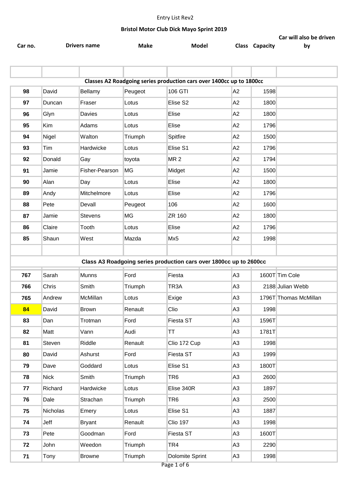|                                                                      |             |                     |             |                                                                    |                |                       | Car will also be driven |  |  |
|----------------------------------------------------------------------|-------------|---------------------|-------------|--------------------------------------------------------------------|----------------|-----------------------|-------------------------|--|--|
| Car no.                                                              |             | <b>Drivers name</b> | <b>Make</b> | Model                                                              |                | <b>Class Capacity</b> | by                      |  |  |
|                                                                      |             |                     |             |                                                                    |                |                       |                         |  |  |
|                                                                      |             |                     |             |                                                                    |                |                       |                         |  |  |
| Classes A2 Roadgoing series production cars over 1400cc up to 1800cc |             |                     |             |                                                                    |                |                       |                         |  |  |
| 98                                                                   | David       | Bellamy             | Peugeot     | 106 GTI                                                            | A2             | 1598                  |                         |  |  |
| 97                                                                   | Duncan      | Fraser              | Lotus       | Elise S2                                                           | A2             | 1800                  |                         |  |  |
| 96                                                                   | Glyn        | Davies              | Lotus       | Elise                                                              | A2             | 1800                  |                         |  |  |
| 95                                                                   | Kim         | Adams               | Lotus       | Elise                                                              | A <sub>2</sub> | 1796                  |                         |  |  |
| 94                                                                   | Nigel       | Walton              | Triumph     | Spitfire                                                           | A <sub>2</sub> | 1500                  |                         |  |  |
| 93                                                                   | Tim         | Hardwicke           | Lotus       | Elise S1                                                           | A <sub>2</sub> | 1796                  |                         |  |  |
| 92                                                                   | Donald      | Gay                 | toyota      | MR <sub>2</sub>                                                    | A2             | 1794                  |                         |  |  |
| 91                                                                   | Jamie       | Fisher-Pearson      | <b>MG</b>   | Midget                                                             | A2             | 1500                  |                         |  |  |
| 90                                                                   | Alan        | Day                 | Lotus       | Elise                                                              | A <sub>2</sub> | 1800                  |                         |  |  |
| 89                                                                   | Andy        | Mitchelmore         | Lotus       | Elise                                                              | A2             | 1796                  |                         |  |  |
| 88                                                                   | Pete        | Devall              | Peugeot     | 106                                                                | A <sub>2</sub> | 1600                  |                         |  |  |
| 87                                                                   | Jamie       | <b>Stevens</b>      | MG          | ZR 160                                                             | A2             | 1800                  |                         |  |  |
| 86                                                                   | Claire      | Tooth               | Lotus       | Elise                                                              | A2             | 1796                  |                         |  |  |
| 85                                                                   | Shaun       | West                | Mazda       | Mx5                                                                | A <sub>2</sub> | 1998                  |                         |  |  |
|                                                                      |             |                     |             |                                                                    |                |                       |                         |  |  |
|                                                                      |             |                     |             | Class A3 Roadgoing series production cars over 1800cc up to 2600cc |                |                       |                         |  |  |
| 767                                                                  | Sarah       | Munns               | Ford        | Fiesta                                                             | A <sub>3</sub> |                       | 1600T Tim Cole          |  |  |
| 766                                                                  | Chris       | Smith               | Triumph     | TR <sub>3</sub> A                                                  | A <sub>3</sub> |                       | 2188 Julian Webb        |  |  |
| 765                                                                  | Andrew      | McMillan            | Lotus       | Exige                                                              | A <sub>3</sub> |                       | 1796T Thomas McMillan   |  |  |
| 84                                                                   | David       | <b>Brown</b>        | Renault     | Clio                                                               | A <sub>3</sub> | 1998                  |                         |  |  |
| 83                                                                   | Dan         | Trotman             | Ford        | Fiesta ST                                                          | A <sub>3</sub> | 1596T                 |                         |  |  |
| 82                                                                   | Matt        | Vann                | Audi        | TT.                                                                | A <sub>3</sub> | 1781T                 |                         |  |  |
| 81                                                                   | Steven      | Riddle              | Renault     | Clio 172 Cup                                                       | A <sub>3</sub> | 1998                  |                         |  |  |
| 80                                                                   | David       | Ashurst             | Ford        | Fiesta ST                                                          | A <sub>3</sub> | 1999                  |                         |  |  |
| 79                                                                   | Dave        | Goddard             | Lotus       | Elise S1                                                           | A <sub>3</sub> | 1800T                 |                         |  |  |
| 78                                                                   | <b>Nick</b> | Smith               | Triumph     | TR6                                                                | A <sub>3</sub> | 2600                  |                         |  |  |
| 77                                                                   | Richard     | Hardwicke           | Lotus       | Elise 340R                                                         | A <sub>3</sub> | 1897                  |                         |  |  |
| 76                                                                   | Dale        | Strachan            | Triumph     | TR6                                                                | A <sub>3</sub> | 2500                  |                         |  |  |
| 75                                                                   | Nicholas    | Emery               | Lotus       | Elise S1                                                           | A <sub>3</sub> | 1887                  |                         |  |  |
| 74                                                                   | Jeff        | <b>Bryant</b>       | Renault     | <b>Clio 197</b>                                                    | A <sub>3</sub> | 1998                  |                         |  |  |
| 73                                                                   | Pete        | Goodman             | Ford        | Fiesta ST                                                          | A <sub>3</sub> | 1600T                 |                         |  |  |
| 72                                                                   | John        | Weedon              | Triumph     | TR4                                                                | A <sub>3</sub> | 2290                  |                         |  |  |
| 71                                                                   | Tony        | <b>Browne</b>       | Triumph     | Dolomite Sprint                                                    | A <sub>3</sub> | 1998                  |                         |  |  |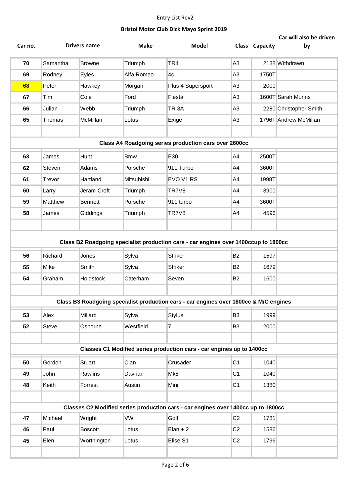| Car no. |          | <b>Drivers name</b> | <b>Make</b>    | <b>Model</b>                                                                          |                | <b>Class Capacity</b> | Car will also be driven<br>by |
|---------|----------|---------------------|----------------|---------------------------------------------------------------------------------------|----------------|-----------------------|-------------------------------|
|         |          |                     |                |                                                                                       |                |                       |                               |
| 70      | Samantha | <b>Browne</b>       | <b>Triumph</b> | <b>TR4</b>                                                                            | A <sub>3</sub> |                       | 2138 Withdrawn                |
| 69      | Rodney   | Eyles               | Alfa Romeo     | 4c                                                                                    | A <sub>3</sub> | 1750T                 |                               |
| 68      | Peter    | Hawkey              | Morgan         | Plus 4 Supersport                                                                     | A3             | 2000                  |                               |
| 67      | Tim      | Cole                | Ford           | Fiesta                                                                                | A <sub>3</sub> |                       | 1600T Sarah Munns             |
| 66      | Julian   | Webb                | Triumph        | TR <sub>3</sub> A                                                                     | A <sub>3</sub> |                       | 2280 Christopher Smith        |
| 65      | Thomas   | McMillan            | Lotus          | Exige                                                                                 | A <sub>3</sub> |                       | 1796T Andrew McMillan         |
|         |          |                     |                |                                                                                       |                |                       |                               |
|         |          |                     |                | Class A4 Roadgoing series production cars over 2600cc                                 |                |                       |                               |
| 63      | James    | Hunt                | <b>Bmw</b>     | E30                                                                                   | A4             | 2500T                 |                               |
| 62      | Steven   | Adams               | Porsche        | 911 Turbo                                                                             | A4             | 3600T                 |                               |
| 61      | Trevor   | Hartland            | Mitsubishi     | EVO V1 RS                                                                             | A4             | 1998T                 |                               |
| 60      | Larry    | Jeram-Croft         | Triumph        | TR7V8                                                                                 | A4             | 3900                  |                               |
| 59      | Matthew  | <b>Bennett</b>      | Porsche        | 911 turbo                                                                             | A4             | 3600T                 |                               |
| 58      | James    | Giddings            | Triumph        | TR7V8                                                                                 | A4             | 4596                  |                               |
|         |          |                     |                |                                                                                       |                |                       |                               |
|         |          |                     |                | Class B2 Roadgoing specialist production cars - car engines over 1400ccup to 1800cc   |                |                       |                               |
| 56      | Richard  | Jones               | Sylva          | <b>Striker</b>                                                                        | <b>B2</b>      | 1597                  |                               |
| 55      | Mike     | Smith               | Sylva          | <b>Striker</b>                                                                        | <b>B2</b>      | 1679                  |                               |
| 54      | Graham   | Holdstock           | Caterham       | Seven                                                                                 | <b>B2</b>      | 1600                  |                               |
|         |          |                     |                |                                                                                       |                |                       |                               |
|         |          |                     |                | Class B3 Roadgoing specialist production cars - car engines over 1800cc & M/C engines |                |                       |                               |
|         |          |                     |                |                                                                                       |                |                       |                               |
| 53      | Alex     | Millard             | Sylva          | <b>Stylus</b>                                                                         | B <sub>3</sub> | 1999                  |                               |
| 52      | Steve    | Osborne             | Westfield      | 7                                                                                     | B <sub>3</sub> | 2000                  |                               |
|         |          |                     |                |                                                                                       |                |                       |                               |
|         |          |                     |                | Classes C1 Modified series production cars - car engines up to 1400cc                 |                |                       |                               |
| 50      | Gordon   | <b>Stuart</b>       | Clan           | Crusader                                                                              | C <sub>1</sub> | 1040                  |                               |
| 49      | John     | Rawlins             | Davrian        | Mk8                                                                                   | C <sub>1</sub> | 1040                  |                               |
| 48      | Keith    | Forrest             | Austin         | Mini                                                                                  | C <sub>1</sub> | 1380                  |                               |
|         |          |                     |                |                                                                                       |                |                       |                               |
|         |          |                     |                | Classes C2 Modified series production cars - car engines over 1400cc up to 1800cc     |                |                       |                               |
| 47      | Michael  | Wright              | VW             | Golf                                                                                  | C <sub>2</sub> | 1781                  |                               |
| 46      | Paul     | <b>Boscott</b>      | Lotus          | $Elan + 2$                                                                            | C <sub>2</sub> | 1586                  |                               |
| 45      | Elen     | Worthington         | Lotus          | Elise S1                                                                              | C <sub>2</sub> | 1796                  |                               |
|         |          |                     |                |                                                                                       |                |                       |                               |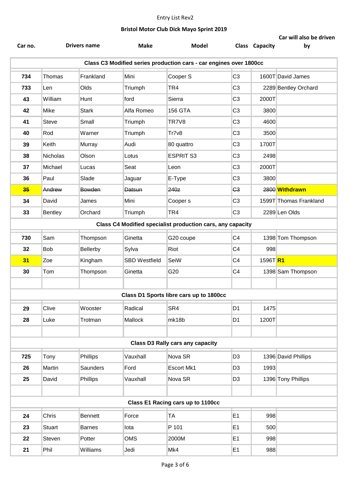| Car no.                                                            |                | <b>Drivers name</b> | <b>Make</b>          | <b>Model</b>                            |                | Class Capacity        | Car will also be driven<br>by |  |  |
|--------------------------------------------------------------------|----------------|---------------------|----------------------|-----------------------------------------|----------------|-----------------------|-------------------------------|--|--|
| Class C3 Modified series production cars - car engines over 1800cc |                |                     |                      |                                         |                |                       |                               |  |  |
| 734                                                                | Thomas         | Frankland           | Mini                 | Cooper S                                | C <sub>3</sub> |                       | 1600T David James             |  |  |
| 733                                                                | Len            | Olds                | Triumph              | TR4                                     | C <sub>3</sub> |                       | 2289 Bentley Orchard          |  |  |
| 43                                                                 | William        | Hunt                | ford                 | Sierra                                  | C <sub>3</sub> | 2000T                 |                               |  |  |
| 42                                                                 | Mike           | <b>Stark</b>        | Alfa Romeo           | <b>156 GTA</b>                          | C <sub>3</sub> | 3800                  |                               |  |  |
| 41                                                                 | <b>Steve</b>   | Small               | Triumph              | TR7V8                                   | C <sub>3</sub> | 4600                  |                               |  |  |
| 40                                                                 | Rod            | Warner              | Triumph              | Tr7v8                                   | C <sub>3</sub> | 3500                  |                               |  |  |
| 39                                                                 | Keith          | Murray              | Audi                 | 80 quattro                              | C <sub>3</sub> | 1700T                 |                               |  |  |
| 38                                                                 | Nicholas       | Olson               | Lotus                | <b>ESPRIT S3</b>                        | C <sub>3</sub> | 2498                  |                               |  |  |
| 37                                                                 | Michael        | Lucas               | Seat                 | Leon                                    | C <sub>3</sub> | 2000T                 |                               |  |  |
| 36                                                                 | Paul           | Slade               | Jaguar               | E-Type                                  | C <sub>3</sub> | 3800                  |                               |  |  |
| 35                                                                 | Andrew         | Bowden              | <b>Datsun</b>        | 240z                                    | G <sub>3</sub> |                       | 2800 Withdrawn                |  |  |
| 34                                                                 | David          | James               | Mini                 | Cooper <sub>s</sub>                     | C <sub>3</sub> |                       | 1599T Thomas Frankland        |  |  |
| 33                                                                 | <b>Bentley</b> | Orchard             | Triumph              | TR4                                     | C <sub>3</sub> |                       | 2289 Len Olds                 |  |  |
| Class C4 Modified specialist production cars, any capacity         |                |                     |                      |                                         |                |                       |                               |  |  |
| 730                                                                | Sam            | Thompson            | Ginetta              | G20 coupe                               | C <sub>4</sub> |                       | 1398 Tom Thompson             |  |  |
| 32                                                                 | <b>Bob</b>     | Bellerby            | Sylva                | Riot                                    | C <sub>4</sub> | 998                   |                               |  |  |
| 31                                                                 | Zoe            | Kingham             | <b>SBD Westfield</b> | SeiW                                    | C <sub>4</sub> | 1596T <mark>R1</mark> |                               |  |  |
| 30                                                                 | Tom            | Thompson            | Ginetta              | G20                                     | C <sub>4</sub> |                       | 1398 Sam Thompson             |  |  |
|                                                                    |                |                     |                      |                                         |                |                       |                               |  |  |
|                                                                    |                |                     |                      | Class D1 Sports libre cars up to 1800cc |                |                       |                               |  |  |
| 29                                                                 | Clive          | Wooster             | Radical              | SR4                                     | D <sub>1</sub> | 1475                  |                               |  |  |
| 28                                                                 | Luke           | Trotman             | Mallock              | mk18b                                   | D <sub>1</sub> | 1200T                 |                               |  |  |
|                                                                    |                |                     |                      |                                         |                |                       |                               |  |  |
|                                                                    |                |                     |                      | <b>Class D3 Rally cars any capacity</b> |                |                       |                               |  |  |
| 725                                                                | Tony           | Phillips            | Vauxhall             | Nova SR                                 | D <sub>3</sub> |                       | 1396 David Phillips           |  |  |
| 26                                                                 | Martin         | Saunders            | Ford                 | Escort Mk1                              | D <sub>3</sub> | 1993                  |                               |  |  |
| 25                                                                 | David          | Phillips            | Vauxhall             | Nova SR                                 | D <sub>3</sub> |                       | 1396 Tony Phillips            |  |  |
|                                                                    |                |                     |                      |                                         |                |                       |                               |  |  |
|                                                                    |                |                     |                      | Class E1 Racing cars up to 1100cc       |                |                       |                               |  |  |
| 24                                                                 | Chris          | <b>Bennett</b>      | Force                | <b>TA</b>                               | E1             | 998                   |                               |  |  |
| 23                                                                 | Stuart         | <b>Barnes</b>       | lota                 | P 101                                   | E1             | 500                   |                               |  |  |
| 22                                                                 | Steven         | Potter              | <b>OMS</b>           | 2000M                                   | E1             | 998                   |                               |  |  |
| 21                                                                 | Phil           | Williams            | Jedi                 | Mk4                                     | E1             | 988                   |                               |  |  |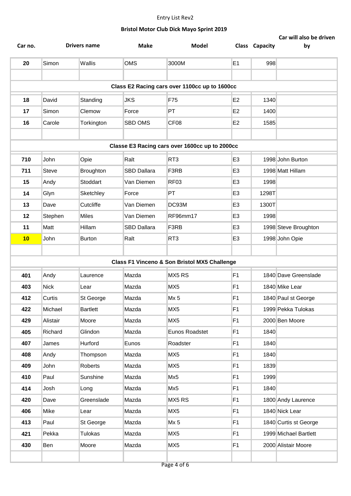|         |              |                     |                    |                                                |                |                | Car will also be driven |
|---------|--------------|---------------------|--------------------|------------------------------------------------|----------------|----------------|-------------------------|
| Car no. |              | <b>Drivers name</b> | <b>Make</b>        | Model                                          |                | Class Capacity | by                      |
| 20      | Simon        | Wallis              | <b>OMS</b>         | 3000M                                          | E <sub>1</sub> | 998            |                         |
|         |              |                     |                    |                                                |                |                |                         |
|         |              |                     |                    | Class E2 Racing cars over 1100cc up to 1600cc  |                |                |                         |
| 18      | David        | Standing            | <b>JKS</b>         | F75                                            | E <sub>2</sub> | 1340           |                         |
| 17      | Simon        | Clemow              | Force              | PT                                             | E <sub>2</sub> | 1400           |                         |
| 16      | Carole       | Torkington          | SBD OMS            | CF <sub>08</sub>                               | E <sub>2</sub> | 1585           |                         |
|         |              |                     |                    |                                                |                |                |                         |
|         |              |                     |                    | Classe E3 Racing cars over 1600cc up to 2000cc |                |                |                         |
| 710     | John         | Opie                | Ralt               | RT <sub>3</sub>                                | E <sub>3</sub> |                | 1998 John Burton        |
| 711     | <b>Steve</b> | <b>Broughton</b>    | <b>SBD Dallara</b> | F3RB                                           | E <sub>3</sub> |                | 1998 Matt Hillam        |
| 15      | Andy         | Stoddart            | Van Diemen         | <b>RF03</b>                                    | E <sub>3</sub> | 1998           |                         |
| 14      | Glyn         | Sketchley           | Force              | PT                                             | E <sub>3</sub> | 1298T          |                         |
| 13      | Dave         | Cutcliffe           | Van Diemen         | DC93M                                          | E <sub>3</sub> | 1300T          |                         |
| 12      | Stephen      | <b>Miles</b>        | Van Diemen         | RF96mm17                                       | E <sub>3</sub> | 1998           |                         |
| 11      | Matt         | Hillam              | SBD Dallara        | F3RB                                           | E <sub>3</sub> |                | 1998 Steve Broughton    |
| 10      | John         | <b>Burton</b>       | Ralt               | RT <sub>3</sub>                                | E <sub>3</sub> |                | 1998 John Opie          |
|         |              |                     |                    |                                                |                |                |                         |
|         |              |                     |                    | Class F1 Vinceno & Son Bristol MX5 Challenge   |                |                |                         |
| 401     | Andy         | Laurence            | Mazda              | MX5 RS                                         | F <sub>1</sub> |                | 1840 Dave Greenslade    |
| 403     | <b>Nick</b>  | Lear                | Mazda              | MX <sub>5</sub>                                | F <sub>1</sub> |                | 1840 Mike Lear          |
| 412     | Curtis       | St George           | Mazda              | $Mx$ 5                                         | F <sub>1</sub> |                | 1840 Paul st George     |
| 422     | Michael      | <b>Bartlett</b>     | Mazda              | MX <sub>5</sub>                                | F <sub>1</sub> |                | 1999 Pekka Tulokas      |
| 429     | Alistair     | Moore               | Mazda              | MX <sub>5</sub>                                | F <sub>1</sub> |                | 2000 Ben Moore          |
| 405     | Richard      | Glindon             | Mazda              | Eunos Roadstet                                 | F <sub>1</sub> | 1840           |                         |
| 407     | James        | Hurford             | Eunos              | Roadster                                       | F <sub>1</sub> | 1840           |                         |
| 408     | Andy         | Thompson            | Mazda              | MX <sub>5</sub>                                | F <sub>1</sub> | 1840           |                         |
| 409     | John         | Roberts             | Mazda              | MX <sub>5</sub>                                | F <sub>1</sub> | 1839           |                         |
| 410     | Paul         | Sunshine            | Mazda              | Mx5                                            | F <sub>1</sub> | 1999           |                         |
| 414     | Josh         | Long                | Mazda              | Mx5                                            | F <sub>1</sub> | 1840           |                         |
| 420     | Dave         | Greenslade          | Mazda              | MX5 RS                                         | F <sub>1</sub> |                | 1800 Andy Laurence      |
| 406     | Mike         | Lear                | Mazda              | MX <sub>5</sub>                                | F <sub>1</sub> |                | 1840 Nick Lear          |
| 413     | Paul         | St George           | Mazda              | Mx <sub>5</sub>                                | F <sub>1</sub> |                | 1840 Curtis st George   |
| 421     | Pekka        | <b>Tulokas</b>      | Mazda              | MX5                                            | F <sub>1</sub> |                | 1999 Michael Bartlett   |
| 430     | Ben          | Moore               | Mazda              | MX <sub>5</sub>                                | F <sub>1</sub> |                | 2000 Alistair Moore     |
|         |              |                     |                    |                                                |                |                |                         |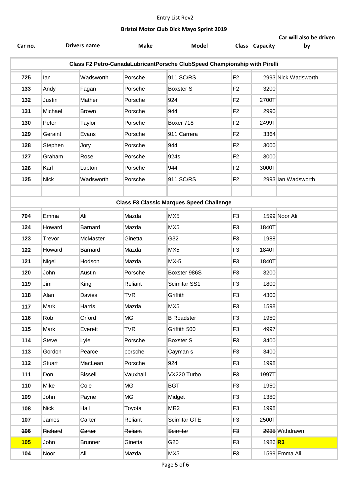|                                                                           |             | Drivers name   | <b>Make</b> | Model                                           |                |                | Car will also be driven |  |  |
|---------------------------------------------------------------------------|-------------|----------------|-------------|-------------------------------------------------|----------------|----------------|-------------------------|--|--|
| Car no.                                                                   |             |                |             |                                                 |                | Class Capacity | by                      |  |  |
| Class F2 Petro-CanadaLubricantPorsche ClubSpeed Championship with Pirelli |             |                |             |                                                 |                |                |                         |  |  |
| 725                                                                       | lan         | Wadsworth      | Porsche     | 911 SC/RS                                       | F <sub>2</sub> |                | 2993 Nick Wadsworth     |  |  |
| 133                                                                       | Andy        | Fagan          | Porsche     | <b>Boxster S</b>                                | F <sub>2</sub> | 3200           |                         |  |  |
| 132                                                                       | Justin      | Mather         | Porsche     | 924                                             | F <sub>2</sub> | 2700T          |                         |  |  |
| 131                                                                       | Michael     | <b>Brown</b>   | Porsche     | 944                                             | F <sub>2</sub> | 2990           |                         |  |  |
| 130                                                                       | Peter       | Taylor         | Porsche     | Boxer 718                                       | F <sub>2</sub> | 2499T          |                         |  |  |
| 129                                                                       | Geraint     | Evans          | Porsche     | 911 Carrera                                     | F <sub>2</sub> | 3364           |                         |  |  |
| 128                                                                       | Stephen     | Jory           | Porsche     | 944                                             | F <sub>2</sub> | 3000           |                         |  |  |
| 127                                                                       | Graham      | Rose           | Porsche     | 924s                                            | F <sub>2</sub> | 3000           |                         |  |  |
| 126                                                                       | Karl        | Lupton         | Porsche     | 944                                             | F <sub>2</sub> | 3000T          |                         |  |  |
| 125                                                                       | <b>Nick</b> | Wadsworth      | Porsche     | 911 SC/RS                                       | F <sub>2</sub> |                | 2993 Ian Wadsworth      |  |  |
|                                                                           |             |                |             |                                                 |                |                |                         |  |  |
|                                                                           |             |                |             | <b>Class F3 Classic Marques Speed Challenge</b> |                |                |                         |  |  |
| 704                                                                       | Emma        | Ali            | Mazda       | MX5                                             | F <sub>3</sub> |                | 1599 Noor Ali           |  |  |
| 124                                                                       | Howard      | Barnard        | Mazda       | MX5                                             | F <sub>3</sub> | 1840T          |                         |  |  |
| 123                                                                       | Trevor      | McMaster       | Ginetta     | G32                                             | F <sub>3</sub> | 1988           |                         |  |  |
| 122                                                                       | Howard      | Barnard        | Mazda       | MX5                                             | F <sub>3</sub> | 1840T          |                         |  |  |
| 121                                                                       | Nigel       | Hodson         | Mazda       | $MX-5$                                          | F <sub>3</sub> | 1840T          |                         |  |  |
| 120                                                                       | John        | Austin         | Porsche     | Boxster 986S                                    | F <sub>3</sub> | 3200           |                         |  |  |
| 119                                                                       | Jim         | King           | Reliant     | Scimitar SS1                                    | F <sub>3</sub> | 1800           |                         |  |  |
| 118                                                                       | Alan        | Davies         | <b>TVR</b>  | Griffith                                        | F <sub>3</sub> | 4300           |                         |  |  |
| 117                                                                       | Mark        | Harris         | Mazda       | MX <sub>5</sub>                                 | F <sub>3</sub> | 1598           |                         |  |  |
| 116                                                                       | Rob         | Orford         | MG          | <b>B</b> Roadster                               | F <sub>3</sub> | 1950           |                         |  |  |
| 115                                                                       | Mark        | Everett        | <b>TVR</b>  | Griffith 500                                    | F <sub>3</sub> | 4997           |                         |  |  |
| 114                                                                       | Steve       | Lyle           | Porsche     | Boxster S                                       | F <sub>3</sub> | 3400           |                         |  |  |
| 113                                                                       | Gordon      | Pearce         | porsche     | Cayman s                                        | F <sub>3</sub> | 3400           |                         |  |  |
| 112                                                                       | Stuart      | MacLean        | Porsche     | 924                                             | F <sub>3</sub> | 1998           |                         |  |  |
| 111                                                                       | Don         | <b>Bissell</b> | Vauxhall    | VX220 Turbo                                     | F <sub>3</sub> | 1997T          |                         |  |  |
| 110                                                                       | Mike        | Cole           | MG          | <b>BGT</b>                                      | F <sub>3</sub> | 1950           |                         |  |  |
| 109                                                                       | John        | Payne          | MG          | Midget                                          | F <sub>3</sub> | 1380           |                         |  |  |
| 108                                                                       | <b>Nick</b> | Hall           | Toyota      | MR <sub>2</sub>                                 | F <sub>3</sub> | 1998           |                         |  |  |
| 107                                                                       | James       | Carter         | Reliant     | Scimitar GTE                                    | F <sub>3</sub> | 2500T          |                         |  |  |
| 106                                                                       | Richard     | Carter         | Reliant     | Scimitar                                        | F <sub>3</sub> |                | 2935 Withdrawn          |  |  |
| 105                                                                       | John        | <b>Brunner</b> | Ginetta     | G20                                             | F <sub>3</sub> | 1986 <b>R3</b> |                         |  |  |
| 104                                                                       | Noor        | Ali            | Mazda       | MX5                                             | F <sub>3</sub> |                | 1599 Emma Ali           |  |  |